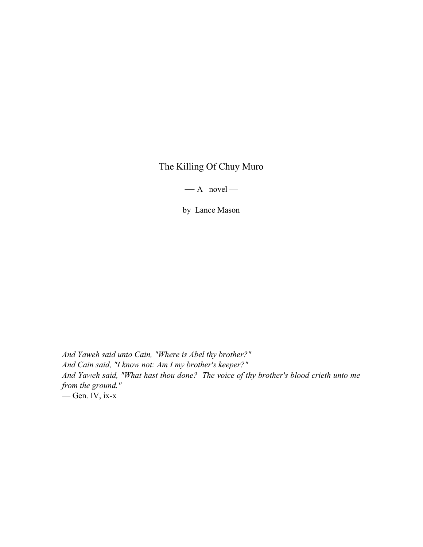## The Killing Of Chuy Muro

 $- A$  novel  $-$ 

by Lance Mason

And Yaweh said unto Cain, "Where is Abel thy brother?" And Cain said, "I know not: Am I my brother's keeper?" And Yaweh said, "What hast thou done? The voice of thy brother's blood crieth unto me from the ground." — Gen. IV, ix-x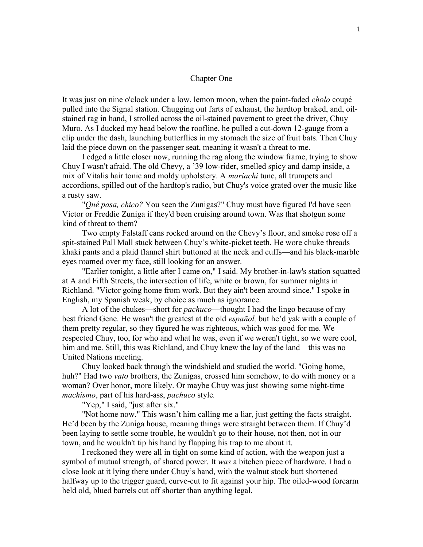## Chapter One

It was just on nine o'clock under a low, lemon moon, when the paint-faded *cholo* coupé pulled into the Signal station. Chugging out farts of exhaust, the hardtop braked, and, oilstained rag in hand, I strolled across the oil-stained pavement to greet the driver, Chuy Muro. As I ducked my head below the roofline, he pulled a cut-down 12-gauge from a clip under the dash, launching butterflies in my stomach the size of fruit bats. Then Chuy laid the piece down on the passenger seat, meaning it wasn't a threat to me.

I edged a little closer now, running the rag along the window frame, trying to show Chuy I wasn't afraid. The old Chevy, a '39 low-rider, smelled spicy and damp inside, a mix of Vitalis hair tonic and moldy upholstery. A *mariachi* tune, all trumpets and accordions, spilled out of the hardtop's radio, but Chuy's voice grated over the music like a rusty saw.

"Qué pasa, chico? You seen the Zunigas?" Chuy must have figured I'd have seen Victor or Freddie Zuniga if they'd been cruising around town. Was that shotgun some kind of threat to them?

Two empty Falstaff cans rocked around on the Chevy's floor, and smoke rose off a spit-stained Pall Mall stuck between Chuy's white-picket teeth. He wore chuke threads khaki pants and a plaid flannel shirt buttoned at the neck and cuffs—and his black-marble eyes roamed over my face, still looking for an answer.

"Earlier tonight, a little after I came on," I said. My brother-in-law's station squatted at A and Fifth Streets, the intersection of life, white or brown, for summer nights in Richland. "Victor going home from work. But they ain't been around since." I spoke in English, my Spanish weak, by choice as much as ignorance.

A lot of the chukes—short for *pachuco*—thought I had the lingo because of my best friend Gene. He wasn't the greatest at the old *español*, but he'd yak with a couple of them pretty regular, so they figured he was righteous, which was good for me. We respected Chuy, too, for who and what he was, even if we weren't tight, so we were cool, him and me. Still, this was Richland, and Chuy knew the lay of the land—this was no United Nations meeting.

Chuy looked back through the windshield and studied the world. "Going home, huh?" Had two vato brothers, the Zunigas, crossed him somehow, to do with money or a woman? Over honor, more likely. Or maybe Chuy was just showing some night-time machismo, part of his hard-ass, pachuco style.

"Yep," I said, "just after six."

"Not home now." This wasn't him calling me a liar, just getting the facts straight. He'd been by the Zuniga house, meaning things were straight between them. If Chuy'd been laying to settle some trouble, he wouldn't go to their house, not then, not in our town, and he wouldn't tip his hand by flapping his trap to me about it.

I reckoned they were all in tight on some kind of action, with the weapon just a symbol of mutual strength, of shared power. It was a bitchen piece of hardware. I had a close look at it lying there under Chuy's hand, with the walnut stock butt shortened halfway up to the trigger guard, curve-cut to fit against your hip. The oiled-wood forearm held old, blued barrels cut off shorter than anything legal.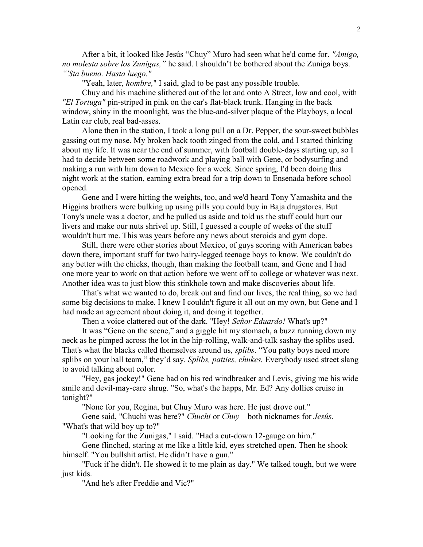After a bit, it looked like Jesús "Chuy" Muro had seen what he'd come for. "Amigo, no molesta sobre los Zunigas," he said. I shouldn't be bothered about the Zuniga boys. "'Sta bueno. Hasta luego."

"Yeah, later, *hombre*," I said, glad to be past any possible trouble.

Chuy and his machine slithered out of the lot and onto A Street, low and cool, with "El Tortuga" pin-striped in pink on the car's flat-black trunk. Hanging in the back window, shiny in the moonlight, was the blue-and-silver plaque of the Playboys, a local Latin car club, real bad-asses.

Alone then in the station, I took a long pull on a Dr. Pepper, the sour-sweet bubbles gassing out my nose. My broken back tooth zinged from the cold, and I started thinking about my life. It was near the end of summer, with football double-days starting up, so I had to decide between some roadwork and playing ball with Gene, or bodysurfing and making a run with him down to Mexico for a week. Since spring, I'd been doing this night work at the station, earning extra bread for a trip down to Ensenada before school opened.

Gene and I were hitting the weights, too, and we'd heard Tony Yamashita and the Higgins brothers were bulking up using pills you could buy in Baja drugstores. But Tony's uncle was a doctor, and he pulled us aside and told us the stuff could hurt our livers and make our nuts shrivel up. Still, I guessed a couple of weeks of the stuff wouldn't hurt me. This was years before any news about steroids and gym dope.

Still, there were other stories about Mexico, of guys scoring with American babes down there, important stuff for two hairy-legged teenage boys to know. We couldn't do any better with the chicks, though, than making the football team, and Gene and I had one more year to work on that action before we went off to college or whatever was next. Another idea was to just blow this stinkhole town and make discoveries about life.

That's what we wanted to do, break out and find our lives, the real thing, so we had some big decisions to make. I knew I couldn't figure it all out on my own, but Gene and I had made an agreement about doing it, and doing it together.

Then a voice clattered out of the dark. "Hey! Señor Eduardo! What's up?"

It was "Gene on the scene," and a giggle hit my stomach, a buzz running down my neck as he pimped across the lot in the hip-rolling, walk-and-talk sashay the splibs used. That's what the blacks called themselves around us, *splibs*. "You patty boys need more splibs on your ball team," they'd say. Splibs, patties, chukes. Everybody used street slang to avoid talking about color.

"Hey, gas jockey!" Gene had on his red windbreaker and Levis, giving me his wide smile and devil-may-care shrug. "So, what's the happs, Mr. Ed? Any dollies cruise in tonight?"

"None for you, Regina, but Chuy Muro was here. He just drove out."

Gene said, "Chuchi was here?" Chuchi or Chuy—both nicknames for Jesús. "What's that wild boy up to?"

"Looking for the Zunigas," I said. "Had a cut-down 12-gauge on him."

Gene flinched, staring at me like a little kid, eyes stretched open. Then he shook himself. "You bullshit artist. He didn't have a gun."

"Fuck if he didn't. He showed it to me plain as day." We talked tough, but we were just kids.

"And he's after Freddie and Vic?"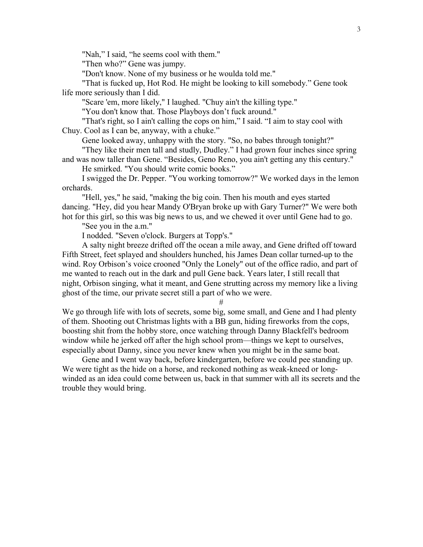"Nah," I said, "he seems cool with them."

"Then who?" Gene was jumpy.

"Don't know. None of my business or he woulda told me."

"That is fucked up, Hot Rod. He might be looking to kill somebody." Gene took life more seriously than I did.

"Scare 'em, more likely," I laughed. "Chuy ain't the killing type."

"You don't know that. Those Playboys don't fuck around."

"That's right, so I ain't calling the cops on him," I said. "I aim to stay cool with Chuy. Cool as I can be, anyway, with a chuke."

Gene looked away, unhappy with the story. "So, no babes through tonight?"

"They like their men tall and studly, Dudley." I had grown four inches since spring and was now taller than Gene. "Besides, Geno Reno, you ain't getting any this century."

He smirked. "You should write comic books."

I swigged the Dr. Pepper. "You working tomorrow?" We worked days in the lemon orchards.

"Hell, yes," he said, "making the big coin. Then his mouth and eyes started dancing. "Hey, did you hear Mandy O'Bryan broke up with Gary Turner?" We were both hot for this girl, so this was big news to us, and we chewed it over until Gene had to go.

"See you in the a.m."

I nodded. "Seven o'clock. Burgers at Topp's."

A salty night breeze drifted off the ocean a mile away, and Gene drifted off toward Fifth Street, feet splayed and shoulders hunched, his James Dean collar turned-up to the wind. Roy Orbison's voice crooned "Only the Lonely" out of the office radio, and part of me wanted to reach out in the dark and pull Gene back. Years later, I still recall that night, Orbison singing, what it meant, and Gene strutting across my memory like a living ghost of the time, our private secret still a part of who we were.

We go through life with lots of secrets, some big, some small, and Gene and I had plenty of them. Shooting out Christmas lights with a BB gun, hiding fireworks from the cops, boosting shit from the hobby store, once watching through Danny Blackfell's bedroom window while he jerked off after the high school prom—things we kept to ourselves, especially about Danny, since you never knew when you might be in the same boat.

#

Gene and I went way back, before kindergarten, before we could pee standing up. We were tight as the hide on a horse, and reckoned nothing as weak-kneed or longwinded as an idea could come between us, back in that summer with all its secrets and the trouble they would bring.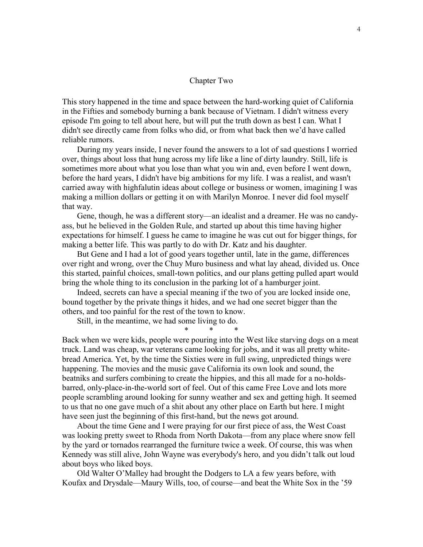## Chapter Two

This story happened in the time and space between the hard-working quiet of California in the Fifties and somebody burning a bank because of Vietnam. I didn't witness every episode I'm going to tell about here, but will put the truth down as best I can. What I didn't see directly came from folks who did, or from what back then we'd have called reliable rumors.

During my years inside, I never found the answers to a lot of sad questions I worried over, things about loss that hung across my life like a line of dirty laundry. Still, life is sometimes more about what you lose than what you win and, even before I went down, before the hard years, I didn't have big ambitions for my life. I was a realist, and wasn't carried away with highfalutin ideas about college or business or women, imagining I was making a million dollars or getting it on with Marilyn Monroe. I never did fool myself that way.

Gene, though, he was a different story—an idealist and a dreamer. He was no candyass, but he believed in the Golden Rule, and started up about this time having higher expectations for himself. I guess he came to imagine he was cut out for bigger things, for making a better life. This was partly to do with Dr. Katz and his daughter.

But Gene and I had a lot of good years together until, late in the game, differences over right and wrong, over the Chuy Muro business and what lay ahead, divided us. Once this started, painful choices, small-town politics, and our plans getting pulled apart would bring the whole thing to its conclusion in the parking lot of a hamburger joint.

Indeed, secrets can have a special meaning if the two of you are locked inside one, bound together by the private things it hides, and we had one secret bigger than the others, and too painful for the rest of the town to know.

Still, in the meantime, we had some living to do.

\* \* \*

Back when we were kids, people were pouring into the West like starving dogs on a meat truck. Land was cheap, war veterans came looking for jobs, and it was all pretty whitebread America. Yet, by the time the Sixties were in full swing, unpredicted things were happening. The movies and the music gave California its own look and sound, the beatniks and surfers combining to create the hippies, and this all made for a no-holdsbarred, only-place-in-the-world sort of feel. Out of this came Free Love and lots more people scrambling around looking for sunny weather and sex and getting high. It seemed to us that no one gave much of a shit about any other place on Earth but here. I might have seen just the beginning of this first-hand, but the news got around.

About the time Gene and I were praying for our first piece of ass, the West Coast was looking pretty sweet to Rhoda from North Dakota—from any place where snow fell by the yard or tornados rearranged the furniture twice a week. Of course, this was when Kennedy was still alive, John Wayne was everybody's hero, and you didn't talk out loud about boys who liked boys.

Old Walter O'Malley had brought the Dodgers to LA a few years before, with Koufax and Drysdale—Maury Wills, too, of course—and beat the White Sox in the '59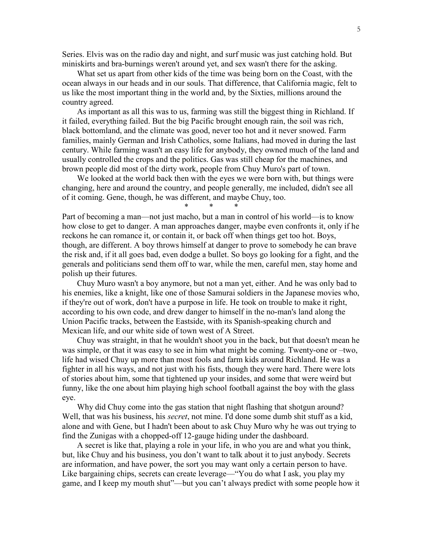Series. Elvis was on the radio day and night, and surf music was just catching hold. But miniskirts and bra-burnings weren't around yet, and sex wasn't there for the asking.

What set us apart from other kids of the time was being born on the Coast, with the ocean always in our heads and in our souls. That difference, that California magic, felt to us like the most important thing in the world and, by the Sixties, millions around the country agreed.

As important as all this was to us, farming was still the biggest thing in Richland. If it failed, everything failed. But the big Pacific brought enough rain, the soil was rich, black bottomland, and the climate was good, never too hot and it never snowed. Farm families, mainly German and Irish Catholics, some Italians, had moved in during the last century. While farming wasn't an easy life for anybody, they owned much of the land and usually controlled the crops and the politics. Gas was still cheap for the machines, and brown people did most of the dirty work, people from Chuy Muro's part of town.

We looked at the world back then with the eyes we were born with, but things were changing, here and around the country, and people generally, me included, didn't see all of it coming. Gene, though, he was different, and maybe Chuy, too.

\* \* \*

Part of becoming a man—not just macho, but a man in control of his world—is to know how close to get to danger. A man approaches danger, maybe even confronts it, only if he reckons he can romance it, or contain it, or back off when things get too hot. Boys, though, are different. A boy throws himself at danger to prove to somebody he can brave the risk and, if it all goes bad, even dodge a bullet. So boys go looking for a fight, and the generals and politicians send them off to war, while the men, careful men, stay home and polish up their futures.

Chuy Muro wasn't a boy anymore, but not a man yet, either. And he was only bad to his enemies, like a knight, like one of those Samurai soldiers in the Japanese movies who, if they're out of work, don't have a purpose in life. He took on trouble to make it right, according to his own code, and drew danger to himself in the no-man's land along the Union Pacific tracks, between the Eastside, with its Spanish-speaking church and Mexican life, and our white side of town west of A Street.

Chuy was straight, in that he wouldn't shoot you in the back, but that doesn't mean he was simple, or that it was easy to see in him what might be coming. Twenty-one or –two, life had wised Chuy up more than most fools and farm kids around Richland. He was a fighter in all his ways, and not just with his fists, though they were hard. There were lots of stories about him, some that tightened up your insides, and some that were weird but funny, like the one about him playing high school football against the boy with the glass eye.

Why did Chuy come into the gas station that night flashing that shotgun around? Well, that was his business, his *secret*, not mine. I'd done some dumb shit stuff as a kid, alone and with Gene, but I hadn't been about to ask Chuy Muro why he was out trying to find the Zunigas with a chopped-off 12-gauge hiding under the dashboard.

A secret is like that, playing a role in your life, in who you are and what you think, but, like Chuy and his business, you don't want to talk about it to just anybody. Secrets are information, and have power, the sort you may want only a certain person to have. Like bargaining chips, secrets can create leverage—"You do what I ask, you play my game, and I keep my mouth shut"—but you can't always predict with some people how it